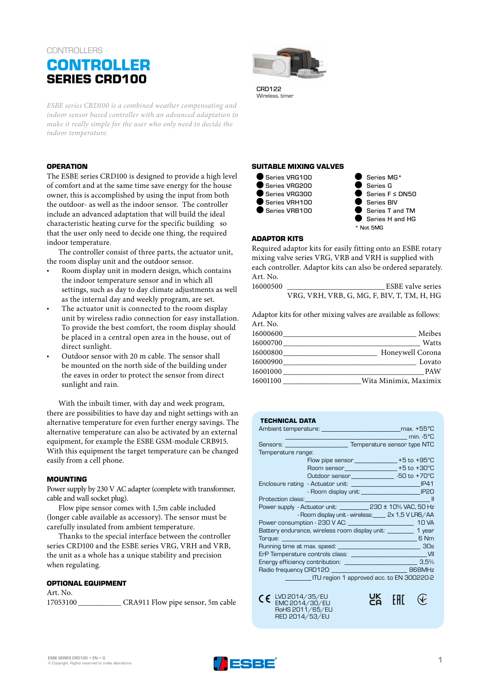# **CONTROLLERS**

# **CONTROLLER SERIES CRD100**

*ESBE series CRD100 is a combined weather compensating and indoor sensor based controller with an advanced adaptation to make it really simple for the user who only need to decide the indoor temperature.* 

## **OPERATION**

The ESBE series CRD100 is designed to provide a high level of comfort and at the same time save energy for the house owner, this is accomplished by using the input from both the outdoor- as well as the indoor sensor. The controller include an advanced adaptation that will build the ideal characteristic heating curve for the specific building so that the user only need to decide one thing, the required indoor temperature.

The controller consist of three parts, the actuator unit, the room display unit and the outdoor sensor.

- Room display unit in modern design, which contains the indoor temperature sensor and in which all settings, such as day to day climate adjustments as well as the internal day and weekly program, are set.
- The actuator unit is connected to the room display unit by wireless radio connection for easy installation. To provide the best comfort, the room display should be placed in a central open area in the house, out of direct sunlight.
- Outdoor sensor with 20 m cable. The sensor shall be mounted on the north side of the building under the eaves in order to protect the sensor from direct sunlight and rain.

With the inbuilt timer, with day and week program, there are possibilities to have day and night settings with an alternative temperature for even further energy savings. The alternative temperature can also be activated by an external equipment, for example the ESBE GSM-module CRB915. With this equipment the target temperature can be changed easily from a cell phone.

#### **MOUNTING**

Power supply by 230 V AC adapter (complete with transformer, cable and wall socket plug).

Flow pipe sensor comes with 1,5m cable included (longer cable available as accessory). The sensor must be carefully insulated from ambient temperature.

Thanks to the special interface between the controller series CRD100 and the ESBE series VRG, VRH and VRB, the unit as a whole has a unique stability and precision when regulating.

#### **OPTIONAL EQUIPMENT**

Art. No. 17053100 \_\_\_\_\_\_\_\_\_\_\_ CRA911 Flow pipe sensor, 5m cable



CRO122 Wireless, timer

## **SUITABLE MIXING VALVES**



Series MG\* Series G Series F ≤ DN50 Series BIV Series T and TM Series H and HG \* Not 5MG

#### **ADAPTOR KITS**

Required adaptor kits for easily fitting onto an ESBE rotary mixing valve series VRG, VRB and VRH is supplied with each controller. Adaptor kits can also be ordered separately. Art. No.<br>16000500

ESBE valve series VRG, VRH, VRB, G, MG, F, BIV, T, TM, H, HG

Adaptor kits for other mixing valves are available as follows: Art. No.

|                                                                                                     | .        |
|-----------------------------------------------------------------------------------------------------|----------|
| Meibes<br>the control of the control of the control of the control of the control of the control of | 16000600 |
| Watts                                                                                               |          |
| Honeywell Corona                                                                                    | 16000800 |
| Lovato                                                                                              | 16000900 |
| <b>PAW</b>                                                                                          | 16001000 |
| Wita Minimix, Maximix                                                                               | 16001100 |
|                                                                                                     |          |

# **TECHNICAL DATA**

| Temperature range:                                                   |                                                        |
|----------------------------------------------------------------------|--------------------------------------------------------|
|                                                                      | Flow pipe sensor ________________+5 to +95°C           |
|                                                                      | Room sensor_________________+5 to +30°C                |
|                                                                      | Outdoor sensor_____________________ -50 to +70°C       |
|                                                                      |                                                        |
|                                                                      | - Room display unit: ____________________________ IP20 |
|                                                                      |                                                        |
|                                                                      |                                                        |
|                                                                      | - Room display unit - wireless: _____ 2x 1,5 V LR6/AA  |
|                                                                      |                                                        |
| Battery endurance, wireless room display unit: __________ 1 year     |                                                        |
|                                                                      | <b>EXAMPLE</b>                                         |
|                                                                      |                                                        |
|                                                                      |                                                        |
| Energy efficiency contribution: _______________________________ 3,5% |                                                        |
| Radio frequency CRD120: ___________________________________ 868MHz   |                                                        |
|                                                                      | ITU region 1 approved acc. to EN 300220-2              |

UK<br>Co

**FRI** 

 $\bigcirc$